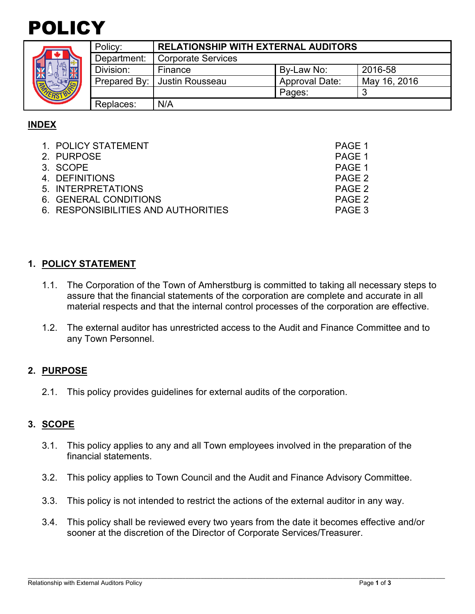

| Policy         |
|----------------|
| Depar          |
| <b>Divisio</b> |
| Prepa          |
|                |
| Repla          |

| Policy:     | <b>RELATIONSHIP WITH EXTERNAL AUDITORS</b> |                       |              |  |
|-------------|--------------------------------------------|-----------------------|--------------|--|
| Department: | Corporate Services                         |                       |              |  |
| Division:   | Finance                                    | By-Law No:            | 2016-58      |  |
|             | Prepared By:   Justin Rousseau             | <b>Approval Date:</b> | May 16, 2016 |  |
|             |                                            | Pages:                |              |  |
| Replaces:   | N/A                                        |                       |              |  |

# **INDEX**

| 1. POLICY STATEMENT                 | PAGE 1 |
|-------------------------------------|--------|
| 2. PURPOSE                          | PAGE 1 |
| 3. SCOPE                            | PAGE 1 |
| 4. DEFINITIONS                      | PAGE 2 |
| 5. INTERPRETATIONS                  | PAGE 2 |
| 6. GENERAL CONDITIONS               | PAGE 2 |
| 6. RESPONSIBILITIES AND AUTHORITIES | PAGE 3 |

### **1. POLICY STATEMENT**

- 1.1. The Corporation of the Town of Amherstburg is committed to taking all necessary steps to assure that the financial statements of the corporation are complete and accurate in all material respects and that the internal control processes of the corporation are effective.
- 1.2. The external auditor has unrestricted access to the Audit and Finance Committee and to any Town Personnel.

### **2. PURPOSE**

2.1. This policy provides guidelines for external audits of the corporation.

#### **3. SCOPE**

- 3.1. This policy applies to any and all Town employees involved in the preparation of the financial statements.
- 3.2. This policy applies to Town Council and the Audit and Finance Advisory Committee.
- 3.3. This policy is not intended to restrict the actions of the external auditor in any way.
- 3.4. This policy shall be reviewed every two years from the date it becomes effective and/or sooner at the discretion of the Director of Corporate Services/Treasurer.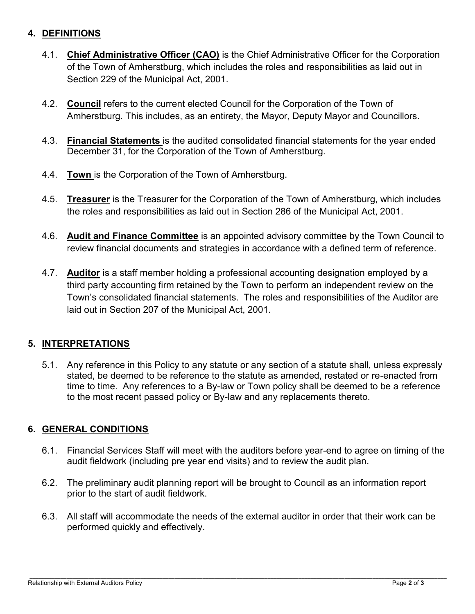### **4. DEFINITIONS**

- 4.1. **Chief Administrative Officer (CAO)** is the Chief Administrative Officer for the Corporation of the Town of Amherstburg, which includes the roles and responsibilities as laid out in Section 229 of the Municipal Act, 2001.
- 4.2. **Council** refers to the current elected Council for the Corporation of the Town of Amherstburg. This includes, as an entirety, the Mayor, Deputy Mayor and Councillors.
- 4.3. **Financial Statements** is the audited consolidated financial statements for the year ended December 31, for the Corporation of the Town of Amherstburg.
- 4.4. **Town** is the Corporation of the Town of Amherstburg.
- 4.5. **Treasurer** is the Treasurer for the Corporation of the Town of Amherstburg, which includes the roles and responsibilities as laid out in Section 286 of the Municipal Act, 2001.
- 4.6. **Audit and Finance Committee** is an appointed advisory committee by the Town Council to review financial documents and strategies in accordance with a defined term of reference.
- 4.7. **Auditor** is a staff member holding a professional accounting designation employed by a third party accounting firm retained by the Town to perform an independent review on the Town's consolidated financial statements. The roles and responsibilities of the Auditor are laid out in Section 207 of the Municipal Act, 2001.

### **5. INTERPRETATIONS**

5.1. Any reference in this Policy to any statute or any section of a statute shall, unless expressly stated, be deemed to be reference to the statute as amended, restated or re-enacted from time to time. Any references to a By-law or Town policy shall be deemed to be a reference to the most recent passed policy or By-law and any replacements thereto.

### **6. GENERAL CONDITIONS**

- 6.1. Financial Services Staff will meet with the auditors before year-end to agree on timing of the audit fieldwork (including pre year end visits) and to review the audit plan.
- 6.2. The preliminary audit planning report will be brought to Council as an information report prior to the start of audit fieldwork.
- 6.3. All staff will accommodate the needs of the external auditor in order that their work can be performed quickly and effectively.